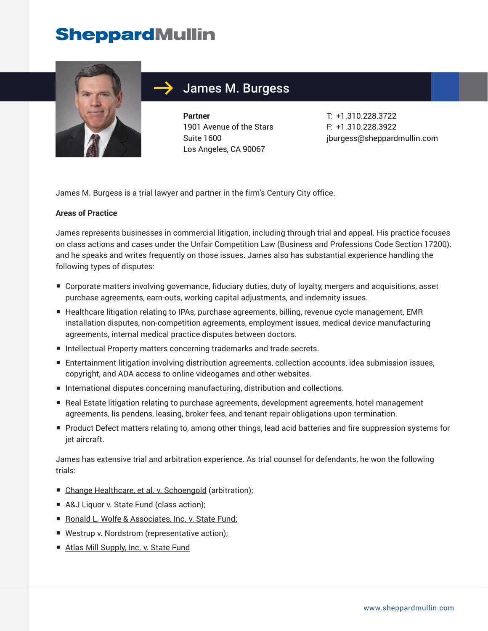

### James M. Burgess

**Partner** 1901 Avenue of the Stars Suite 1600 Los Angeles, CA 90067

T: +1.310.228.3722 F: +1.310.228.3922 jburgess@sheppardmullin.com

James M. Burgess is a trial lawyer and partner in the firm's Century City office.

#### **Areas of Practice**

James represents businesses in commercial litigation, including through trial and appeal. His practice focuses on class actions and cases under the Unfair Competition Law (Business and Professions Code Section 17200), and he speaks and writes frequently on those issues. James also has substantial experience handling the following types of disputes:

- Corporate matters involving governance, fiduciary duties, duty of loyalty, mergers and acquisitions, asset purchase agreements, earn-outs, working capital adjustments, and indemnity issues.
- Healthcare litigation relating to IPAs, purchase agreements, billing, revenue cycle management, EMR installation disputes, non-competition agreements, employment issues, medical device manufacturing agreements, internal medical practice disputes between doctors.
- Intellectual Property matters concerning trademarks and trade secrets.
- Entertainment litigation involving distribution agreements, collection accounts, idea submission issues, copyright, and ADA access to online videogames and other websites.
- International disputes concerning manufacturing, distribution and collections.
- Real Estate litigation relating to purchase agreements, development agreements, hotel management agreements, lis pendens, leasing, broker fees, and tenant repair obligations upon termination.
- Product Defect matters relating to, among other things, lead acid batteries and fire suppression systems for iet aircraft.

James has extensive trial and arbitration experience. As trial counsel for defendants, he won the following trials:

- Change Healthcare, et al. v. Schoengold (arbitration);
- A&J Liquor v. State Fund (class action);
- Ronald L. Wolfe & Associates, Inc. v. State Fund;
- Westrup v. Nordstrom (representative action);
- Atlas Mill Supply, Inc. v. State Fund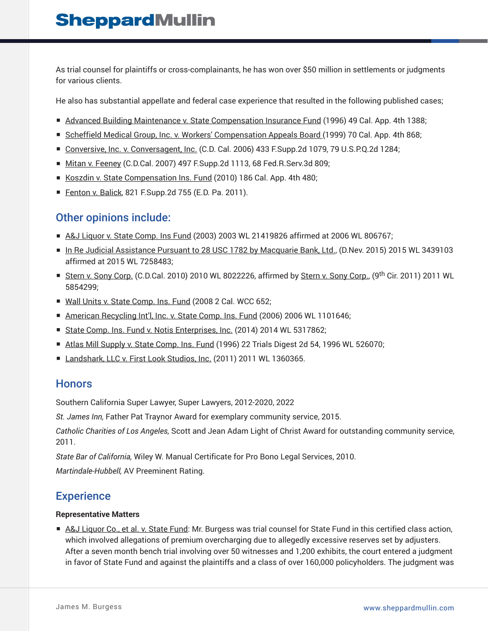As trial counsel for plaintiffs or cross-complainants, he has won over \$50 million in settlements or judgments for various clients.

He also has substantial appellate and federal case experience that resulted in the following published cases;

- Advanced Building Maintenance v. State Compensation Insurance Fund (1996) 49 Cal. App. 4th 1388;
- Scheffield Medical Group, Inc. v. Workers' Compensation Appeals Board (1999) 70 Cal. App. 4th 868;
- Conversive, Inc. v. Conversagent, Inc. (C.D. Cal. 2006) 433 F.Supp.2d 1079, 79 U.S.P.Q.2d 1284;
- Mitan v. Feeney (C.D.Cal. 2007) 497 F.Supp.2d 1113, 68 Fed.R.Serv.3d 809;
- Koszdin v. State Compensation Ins. Fund (2010) 186 Cal. App. 4th 480;
- Fenton v. Balick, 821 F. Supp. 2d 755 (E.D. Pa. 2011).

#### Other opinions include:

- A&J Liquor v. State Comp. Ins Fund (2003) 2003 WL 21419826 affirmed at 2006 WL 806767;
- In Re Judicial Assistance Pursuant to 28 USC 1782 by Macquarie Bank, Ltd., (D.Nev. 2015) 2015 WL 3439103 affirmed at 2015 WL 7258483;
- Stern v. Sony Corp. (C.D.Cal. 2010) 2010 WL 8022226, affirmed by Stern v. Sony Corp., (9<sup>th</sup> Cir. 2011) 2011 WL 5854299;
- Wall Units v. State Comp. Ins. Fund (2008 2 Cal. WCC 652;
- American Recycling Int'l, Inc. v. State Comp. Ins. Fund (2006) 2006 WL 1101646;
- State Comp. Ins. Fund v. Notis Enterprises, Inc. (2014) 2014 WL 5317862;
- Atlas Mill Supply v. State Comp. Ins. Fund (1996) 22 Trials Digest 2d 54, 1996 WL 526070;
- Landshark, LLC v. First Look Studios, Inc. (2011) 2011 WL 1360365.

#### **Honors**

Southern California Super Lawyer, Super Lawyers, 2012-2020, 2022

*St. James Inn,* Father Pat Traynor Award for exemplary community service, 2015.

*Catholic Charities of Los Angeles,* Scott and Jean Adam Light of Christ Award for outstanding community service, 2011.

*State Bar of California,* Wiley W. Manual Certificate for Pro Bono Legal Services, 2010. *Martindale-Hubbell,* AV Preeminent Rating.

### **Experience**

#### **Representative Matters**

■ A&J Liquor Co., et al. v. State Fund: Mr. Burgess was trial counsel for State Fund in this certified class action, which involved allegations of premium overcharging due to allegedly excessive reserves set by adjusters. After a seven month bench trial involving over 50 witnesses and 1,200 exhibits, the court entered a judgment in favor of State Fund and against the plaintiffs and a class of over 160,000 policyholders. The judgment was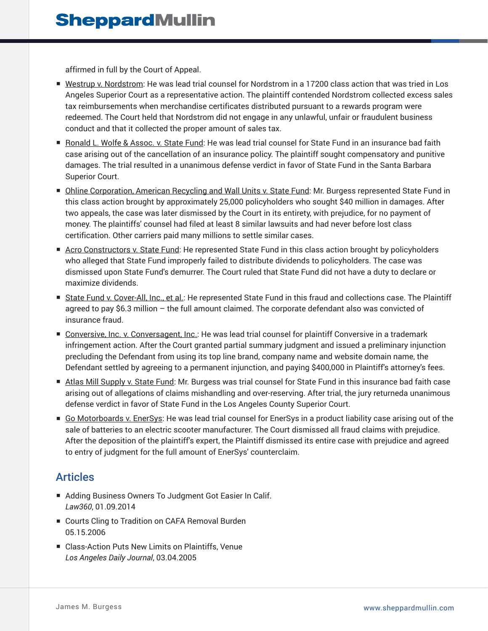affirmed in full by the Court of Appeal.

- Westrup v. Nordstrom: He was lead trial counsel for Nordstrom in a 17200 class action that was tried in Los Angeles Superior Court as a representative action. The plaintiff contended Nordstrom collected excess sales tax reimbursements when merchandise certificates distributed pursuant to a rewards program were redeemed. The Court held that Nordstrom did not engage in any unlawful, unfair or fraudulent business conduct and that it collected the proper amount of sales tax.
- Ronald L. Wolfe & Assoc. v. State Fund: He was lead trial counsel for State Fund in an insurance bad faith case arising out of the cancellation of an insurance policy. The plaintiff sought compensatory and punitive damages. The trial resulted in a unanimous defense verdict in favor of State Fund in the Santa Barbara Superior Court.
- Ohline Corporation, American Recycling and Wall Units v. State Fund: Mr. Burgess represented State Fund in this class action brought by approximately 25,000 policyholders who sought \$40 million in damages. After two appeals, the case was later dismissed by the Court in its entirety, with prejudice, for no payment of money. The plaintiffs' counsel had filed at least 8 similar lawsuits and had never before lost class certification. Other carriers paid many millions to settle similar cases.
- Acro Constructors v. State Fund: He represented State Fund in this class action brought by policyholders who alleged that State Fund improperly failed to distribute dividends to policyholders. The case was dismissed upon State Fund's demurrer. The Court ruled that State Fund did not have a duty to declare or maximize dividends.
- State Fund v. Cover-All, Inc., et al.: He represented State Fund in this fraud and collections case. The Plaintiff agreed to pay \$6.3 million – the full amount claimed. The corporate defendant also was convicted of insurance fraud.
- Conversive, Inc. v. Conversagent, Inc.: He was lead trial counsel for plaintiff Conversive in a trademark infringement action. After the Court granted partial summary judgment and issued a preliminary injunction precluding the Defendant from using its top line brand, company name and website domain name, the Defendant settled by agreeing to a permanent injunction, and paying \$400,000 in Plaintiff's attorney's fees.
- Atlas Mill Supply v. State Fund: Mr. Burgess was trial counsel for State Fund in this insurance bad faith case arising out of allegations of claims mishandling and over-reserving. After trial, the jury returneda unanimous defense verdict in favor of State Fund in the Los Angeles County Superior Court.
- Go Motorboards v. EnerSys: He was lead trial counsel for EnerSys in a product liability case arising out of the sale of batteries to an electric scooter manufacturer. The Court dismissed all fraud claims with prejudice. After the deposition of the plaintiff's expert, the Plaintiff dismissed its entire case with prejudice and agreed to entry of judgment for the full amount of EnerSys' counterclaim.

### Articles

- Adding Business Owners To Judgment Got Easier In Calif. *Law360*, 01.09.2014
- Courts Cling to Tradition on CAFA Removal Burden 05.15.2006
- Class-Action Puts New Limits on Plaintiffs, Venue *Los Angeles Daily Journal*, 03.04.2005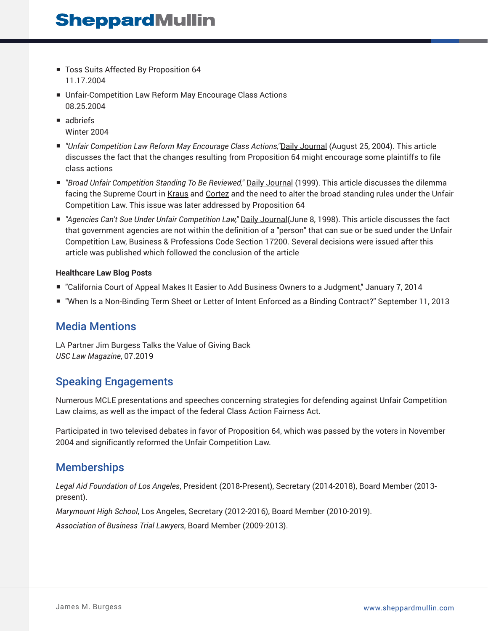- Toss Suits Affected By Proposition 64 11.17.2004
- Unfair-Competition Law Reform May Encourage Class Actions 08.25.2004
- adbriefs Winter 2004
- *"Unfair Competition Law Reform May Encourage Class Actions,"Daily Journal (August 25, 2004).* This article discusses the fact that the changes resulting from Proposition 64 might encourage some plaintiffs to file class actions
- *"Broad Unfair Competition Standing To Be Reviewed,"* Daily Journal (1999). This article discusses the dilemma facing the Supreme Court in Kraus and Cortez and the need to alter the broad standing rules under the Unfair Competition Law. This issue was later addressed by Proposition 64
- *"Agencies Can't Sue Under Unfair Competition Law,"* Daily Journal(June 8, 1998). This article discusses the fact that government agencies are not within the definition of a "person" that can sue or be sued under the Unfair Competition Law, Business & Professions Code Section 17200. Several decisions were issued after this article was published which followed the conclusion of the article

#### **Healthcare Law Blog Posts**

- "California Court of Appeal Makes It Easier to Add Business Owners to a Judgment," January 7, 2014
- "When Is a Non-Binding Term Sheet or Letter of Intent Enforced as a Binding Contract?" September 11, 2013

#### Media Mentions

LA Partner Jim Burgess Talks the Value of Giving Back *USC Law Magazine*, 07.2019

### Speaking Engagements

Numerous MCLE presentations and speeches concerning strategies for defending against Unfair Competition Law claims, as well as the impact of the federal Class Action Fairness Act.

Participated in two televised debates in favor of Proposition 64, which was passed by the voters in November 2004 and significantly reformed the Unfair Competition Law.

### Memberships

*Legal Aid Foundation of Los Angeles*, President (2018-Present), Secretary (2014-2018), Board Member (2013 present).

*Marymount High School*, Los Angeles, Secretary (2012-2016), Board Member (2010-2019).

*Association of Business Trial Lawyers*, Board Member (2009-2013).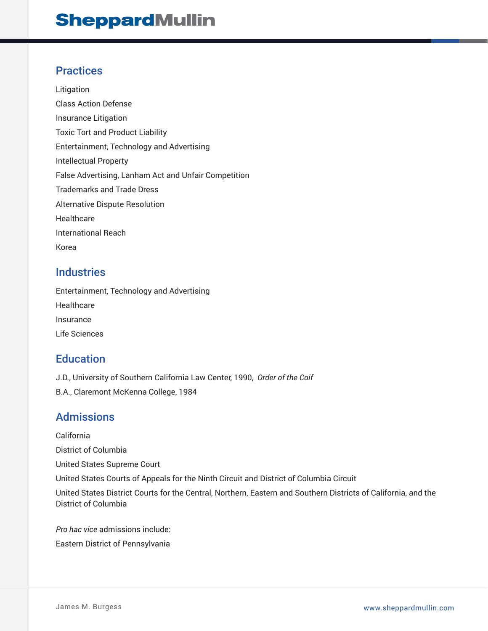#### **Practices**

Litigation Class Action Defense Insurance Litigation Toxic Tort and Product Liability Entertainment, Technology and Advertising Intellectual Property False Advertising, Lanham Act and Unfair Competition Trademarks and Trade Dress Alternative Dispute Resolution **Healthcare** International Reach Korea

#### **Industries**

Entertainment, Technology and Advertising **Healthcare** Insurance Life Sciences

### **Education**

J.D., University of Southern California Law Center, 1990, *Order of the Coif*

B.A., Claremont McKenna College, 1984

### Admissions

California District of Columbia United States Supreme Court United States Courts of Appeals for the Ninth Circuit and District of Columbia Circuit United States District Courts for the Central, Northern, Eastern and Southern Districts of California, and the District of Columbia

*Pro hac vice* admissions include: Eastern District of Pennsylvania